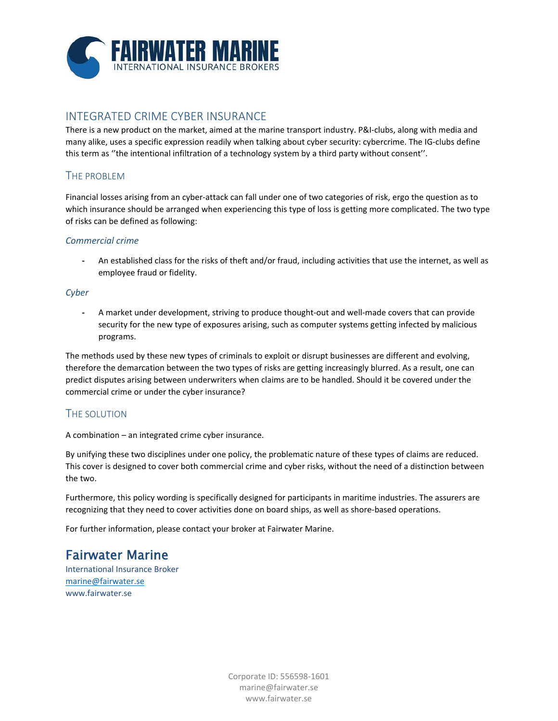

## INTEGRATED CRIME CYBER INSURANCE

There is a new product on the market, aimed at the marine transport industry. P&I‐clubs, along with media and many alike, uses a specific expression readily when talking about cyber security: cybercrime. The IG‐clubs define this term as ''the intentional infiltration of a technology system by a third party without consent''.

## THE PROBLEM

Financial losses arising from an cyber‐attack can fall under one of two categories of risk, ergo the question as to which insurance should be arranged when experiencing this type of loss is getting more complicated. The two type of risks can be defined as following:

#### *Commercial crime*

**‐** An established class for the risks of theft and/or fraud, including activities that use the internet, as well as employee fraud or fidelity.

#### *Cyber*

**‐** A market under development, striving to produce thought‐out and well‐made covers that can provide security for the new type of exposures arising, such as computer systems getting infected by malicious programs.

The methods used by these new types of criminals to exploit or disrupt businesses are different and evolving, therefore the demarcation between the two types of risks are getting increasingly blurred. As a result, one can predict disputes arising between underwriters when claims are to be handled. Should it be covered under the commercial crime or under the cyber insurance?

## THE SOLUTION

A combination – an integrated crime cyber insurance.

By unifying these two disciplines under one policy, the problematic nature of these types of claims are reduced. This cover is designed to cover both commercial crime and cyber risks, without the need of a distinction between the two.

Furthermore, this policy wording is specifically designed for participants in maritime industries. The assurers are recognizing that they need to cover activities done on board ships, as well as shore‐based operations.

For further information, please contact your broker at Fairwater Marine.

# Fairwater Marine

International Insurance Broker marine@fairwater.se www.fairwater.se

> Corporate ID: 556598‐1601 marine@fairwater.se www.fairwater.se